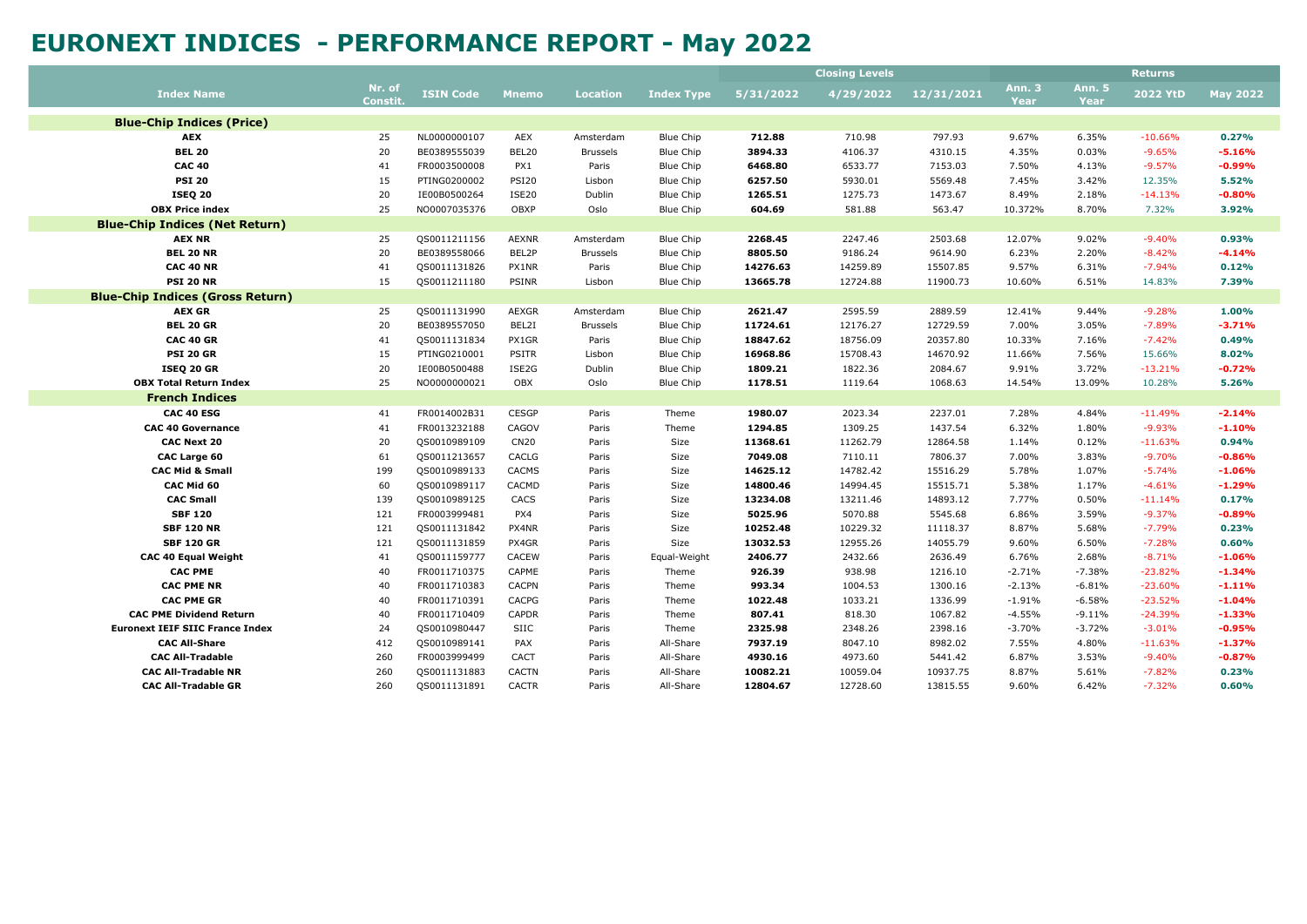| Ann. 3<br><b>Ann. 5</b><br>Nr. of<br><b>2022 YtD</b><br><b>Index Name</b><br><b>ISIN Code</b><br>4/29/2022<br>12/31/2021<br><b>Mnemo</b><br><b>Location</b><br><b>Index Type</b><br>5/31/2022<br><b>Constit</b><br>Year<br>Year<br><b>Blue-Chip Indices (Price)</b> | <b>May 2022</b>      |
|---------------------------------------------------------------------------------------------------------------------------------------------------------------------------------------------------------------------------------------------------------------------|----------------------|
|                                                                                                                                                                                                                                                                     |                      |
|                                                                                                                                                                                                                                                                     |                      |
| 25<br>797.93<br>9.67%<br>6.35%<br><b>AEX</b><br>NL0000000107<br>AEX<br><b>Blue Chip</b><br>712.88<br>710.98<br>$-10.66%$<br>Amsterdam                                                                                                                               | 0.27%                |
| 20<br><b>BEL 20</b><br>BEL20<br>3894.33<br>4310.15<br>0.03%<br>$-9.65%$<br>BE0389555039<br><b>Brussels</b><br><b>Blue Chip</b><br>4106.37<br>4.35%                                                                                                                  | $-5.16%$             |
| 41<br>FR0003500008<br>6468.80<br>7153.03<br>4.13%<br>$-9.57%$<br><b>CAC 40</b><br>PX1<br>Paris<br><b>Blue Chip</b><br>6533.77<br>7.50%                                                                                                                              | $-0.99%$             |
| <b>PSI 20</b><br>15<br>PTING0200002<br><b>PSI20</b><br><b>Blue Chip</b><br>6257.50<br>5930.01<br>5569.48<br>7.45%<br>3.42%<br>12.35%<br>Lisbon                                                                                                                      | 5.52%                |
| 20<br><b>ISE20</b><br><b>ISEQ 20</b><br>IE00B0500264<br>Dublin<br><b>Blue Chip</b><br>1265.51<br>1275.73<br>1473.67<br>8.49%<br>2.18%<br>$-14.13%$                                                                                                                  | $-0.80%$             |
| 25<br>OBXP<br><b>OBX Price index</b><br>NO0007035376<br>Oslo<br>Blue Chip<br>604.69<br>581.88<br>563.47<br>10.372%<br>8.70%<br>7.32%                                                                                                                                | 3.92%                |
| <b>Blue-Chip Indices (Net Return)</b>                                                                                                                                                                                                                               |                      |
| 2503.68<br><b>AEX NR</b><br>25<br>QS0011211156<br><b>AEXNR</b><br><b>Blue Chip</b><br>2268.45<br>2247.46<br>12.07%<br>9.02%<br>$-9.40%$<br>Amsterdam                                                                                                                | 0.93%                |
| 20<br>BEL2P<br><b>BEL 20 NR</b><br>BE0389558066<br><b>Blue Chip</b><br>8805.50<br>9186.24<br>9614.90<br>6.23%<br>2.20%<br>$-8.42%$<br><b>Brussels</b>                                                                                                               | $-4.14%$             |
| 41<br><b>CAC 40 NR</b><br>QS0011131826<br>PX1NR<br>Paris<br>Blue Chip<br>14276.63<br>14259.89<br>15507.85<br>9.57%<br>6.31%<br>$-7.94%$                                                                                                                             | 0.12%                |
| <b>PSI 20 NR</b><br>15<br>PSINR<br><b>Blue Chip</b><br>13665.78<br>12724.88<br>11900.73<br>10.60%<br>6.51%<br>14.83%<br>QS0011211180<br>Lisbon                                                                                                                      | 7.39%                |
| <b>Blue-Chip Indices (Gross Return)</b>                                                                                                                                                                                                                             |                      |
| <b>AEX GR</b><br>25<br>QS0011131990<br>AEXGR<br><b>Blue Chip</b><br>2621.47<br>2595.59<br>2889.59<br>12.41%<br>9.44%<br>$-9.28%$<br>Amsterdam                                                                                                                       | 1.00%                |
| <b>BEL 20 GR</b><br>20<br>BE0389557050<br>BEL2I<br><b>Blue Chip</b><br>11724.61<br>12176.27<br>12729.59<br>7.00%<br>3.05%<br>$-7.89%$<br><b>Brussels</b>                                                                                                            | $-3.71%$             |
| 20357.80<br><b>CAC 40 GR</b><br>41<br>QS0011131834<br>PX1GR<br><b>Blue Chip</b><br>18847.62<br>18756.09<br>10.33%<br>7.16%<br>$-7.42%$<br>Paris                                                                                                                     | 0.49%                |
| 15<br><b>PSITR</b><br>14670.92<br><b>PSI 20 GR</b><br>PTING0210001<br>Lisbon<br><b>Blue Chip</b><br>16968.86<br>15708.43<br>11.66%<br>7.56%<br>15.66%                                                                                                               | 8.02%                |
| 20<br>ISE2G<br>Dublin<br><b>Blue Chip</b><br>1809.21<br>1822.36<br>2084.67<br>9.91%<br>3.72%<br>$-13.21%$<br><b>ISEQ 20 GR</b><br>IE00B0500488                                                                                                                      | $-0.72%$             |
| 25<br>OBX<br><b>OBX Total Return Index</b><br>NO0000000021<br>Oslo<br><b>Blue Chip</b><br>1178.51<br>1119.64<br>1068.63<br>14.54%<br>13.09%<br>10.28%                                                                                                               | 5.26%                |
| <b>French Indices</b>                                                                                                                                                                                                                                               |                      |
| <b>CESGP</b><br>CAC 40 ESG<br>FR0014002B31<br>Theme<br>1980.07<br>2023.34<br>2237.01<br>7.28%<br>4.84%<br>$-11.49%$<br>41<br>Paris                                                                                                                                  | $-2.14%$             |
| 1294.85<br>1437.54<br><b>CAC 40 Governance</b><br>41<br>FR0013232188<br>CAGOV<br>Theme<br>1309.25<br>6.32%<br>1.80%<br>$-9.93%$<br>Paris                                                                                                                            | $-1.10%$             |
| 20<br><b>CN20</b><br>12864.58<br><b>CAC Next 20</b><br>QS0010989109<br>Size<br>11368.61<br>11262.79<br>1.14%<br>0.12%<br>$-11.63%$<br>Paris                                                                                                                         | 0.94%                |
| 61<br>CACLG<br>7049.08<br>7806.37<br>3.83%<br><b>CAC Large 60</b><br>QS0011213657<br>Size<br>7110.11<br>7.00%<br>$-9.70%$<br>Paris                                                                                                                                  | $-0.86%$             |
| <b>CAC Mid &amp; Small</b><br>199<br><b>CACMS</b><br>14625.12<br>15516.29<br>$-5.74%$<br>QS0010989133<br>Paris<br>Size<br>14782.42<br>5.78%<br>1.07%                                                                                                                | $-1.06%$             |
| CAC Mid 60<br>60<br>CACMD<br>14800.46<br>14994.45<br>15515.71<br>5.38%<br>1.17%<br>$-4.61%$<br>QS0010989117<br>Size<br>Paris                                                                                                                                        | $-1.29%$             |
| <b>CAC Small</b><br>139<br>QS0010989125<br>CACS<br>Size<br>13234.08<br>13211.46<br>14893.12<br>7.77%<br>0.50%<br>$-11.14%$<br>Paris                                                                                                                                 | 0.17%                |
| <b>SBF 120</b><br>5025.96<br>5545.68<br>$-9.37%$<br>121<br>FR0003999481<br>PX4<br>Size<br>5070.88<br>6.86%<br>3.59%<br>Paris                                                                                                                                        | $-0.89%$             |
| 121<br><b>SBF 120 NR</b><br>QS0011131842<br>PX4NR<br>Size<br>10252.48<br>10229.32<br>11118.37<br>8.87%<br>5.68%<br>$-7.79%$<br>Paris                                                                                                                                | 0.23%                |
| 121<br>13032.53<br>14055.79<br><b>SBF 120 GR</b><br>QS0011131859<br>PX4GR<br>Size<br>12955.26<br>9.60%<br>6.50%<br>$-7.28%$<br>Paris<br>41<br>CACEW<br>2406.77<br>2432.66<br>$-8.71%$                                                                               | 0.60%                |
| 2636.49<br><b>CAC 40 Equal Weight</b><br>QS0011159777<br>Paris<br>Equal-Weight<br>6.76%<br>2.68%<br>40<br>CAPME<br>926.39<br>1216.10<br>$-7.38%$<br>$-23.82%$<br><b>CAC PME</b><br>FR0011710375<br>Theme<br>938.98<br>$-2.71%$<br>Paris                             | $-1.06%$<br>$-1.34%$ |
| 40<br><b>CAC PME NR</b><br>FR0011710383<br><b>CACPN</b><br>993.34<br>1004.53<br>1300.16<br>$-2.13%$<br>$-6.81%$<br>$-23.60%$<br>Paris<br>Theme                                                                                                                      | $-1.11%$             |
| <b>CAC PME GR</b><br>40<br>CACPG<br>1022.48<br>1336.99<br>$-6.58%$<br>$-23.52%$<br>FR0011710391<br>Theme<br>1033.21<br>$-1.91%$<br>Paris                                                                                                                            | $-1.04%$             |
| 40<br>CAPDR<br>1067.82<br><b>CAC PME Dividend Return</b><br>FR0011710409<br>Theme<br>807.41<br>818.30<br>$-4.55%$<br>$-9.11%$<br>$-24.39%$<br>Paris                                                                                                                 | $-1.33%$             |
| 24<br>SIIC<br>2325.98<br>2348.26<br>2398.16<br>$-3.70%$<br>$-3.72%$<br>$-3.01%$<br><b>Euronext IEIF SIIC France Index</b><br>QS0010980447<br>Paris<br>Theme                                                                                                         | $-0.95%$             |
| 7937.19<br>8982.02<br><b>CAC All-Share</b><br>412<br>QS0010989141<br>PAX<br>All-Share<br>8047.10<br>7.55%<br>4.80%<br>$-11.63%$<br>Paris                                                                                                                            | $-1.37%$             |
| CACT<br>4930.16<br>5441.42<br>6.87%<br><b>CAC All-Tradable</b><br>260<br>FR0003999499<br>All-Share<br>4973.60<br>3.53%<br>$-9.40%$<br>Paris                                                                                                                         | $-0.87%$             |
| <b>CAC All-Tradable NR</b><br>260<br><b>CACTN</b><br>All-Share<br>10082.21<br>10059.04<br>10937.75<br>8.87%<br>5.61%<br>$-7.82%$<br>QS0011131883<br>Paris                                                                                                           | 0.23%                |
| 6.42%<br>$-7.32%$<br><b>CAC All-Tradable GR</b><br>260<br>QS0011131891<br><b>CACTR</b><br>All-Share<br>12804.67<br>12728.60<br>13815.55<br>9.60%<br>Paris                                                                                                           | 0.60%                |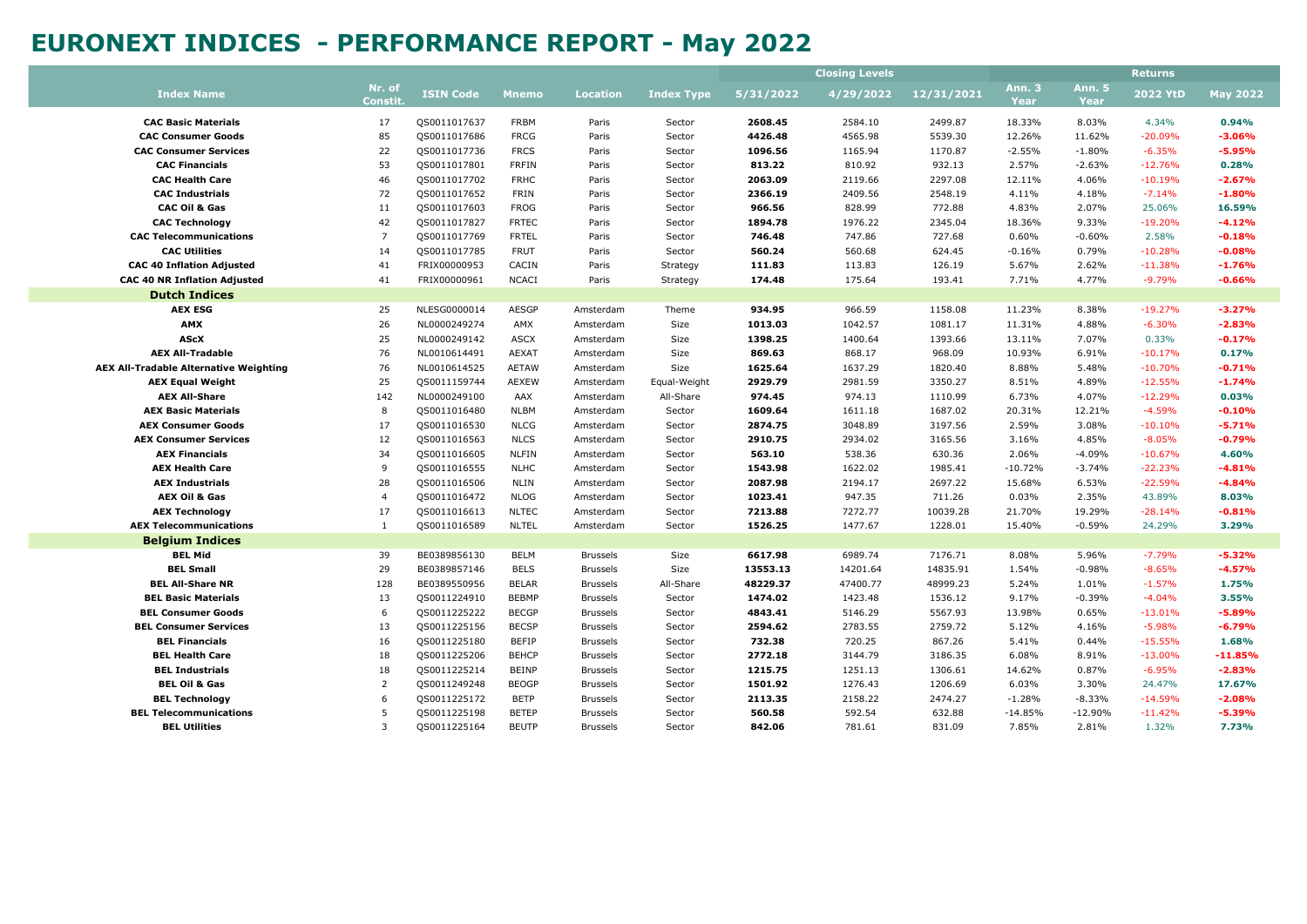|                                               |                           |                  |              |                 |                   | <b>Closing Levels</b> |           |            |                       | <b>Returns</b>               |                 |                 |
|-----------------------------------------------|---------------------------|------------------|--------------|-----------------|-------------------|-----------------------|-----------|------------|-----------------------|------------------------------|-----------------|-----------------|
| <b>Index Name</b>                             | Nr. of<br><b>Constit.</b> | <b>ISIN Code</b> | <b>Mnemo</b> | <b>Location</b> | <b>Index Type</b> | 5/31/2022             | 4/29/2022 | 12/31/2021 | <b>Ann. 3</b><br>Year | <b>Ann. 5</b><br><b>Year</b> | <b>2022 YtD</b> | <b>May 2022</b> |
| <b>CAC Basic Materials</b>                    | 17                        | QS0011017637     | <b>FRBM</b>  | Paris           | Sector            | 2608.45               | 2584.10   | 2499.87    | 18.33%                | 8.03%                        | 4.34%           | 0.94%           |
| <b>CAC Consumer Goods</b>                     | 85                        | QS0011017686     | <b>FRCG</b>  | Paris           | Sector            | 4426.48               | 4565.98   | 5539.30    | 12.26%                | 11.62%                       | $-20.09%$       | $-3.06%$        |
| <b>CAC Consumer Services</b>                  | 22                        | QS0011017736     | <b>FRCS</b>  | Paris           | Sector            | 1096.56               | 1165.94   | 1170.87    | $-2.55%$              | $-1.80%$                     | $-6.35%$        | $-5.95%$        |
| <b>CAC Financials</b>                         | 53                        | QS0011017801     | <b>FRFIN</b> | Paris           | Sector            | 813.22                | 810.92    | 932.13     | 2.57%                 | $-2.63%$                     | $-12.76%$       | 0.28%           |
| <b>CAC Health Care</b>                        | 46                        | QS0011017702     | <b>FRHC</b>  | Paris           | Sector            | 2063.09               | 2119.66   | 2297.08    | 12.11%                | 4.06%                        | $-10.19%$       | $-2.67%$        |
| <b>CAC Industrials</b>                        | 72                        | QS0011017652     | FRIN         | Paris           | Sector            | 2366.19               | 2409.56   | 2548.19    | 4.11%                 | 4.18%                        | $-7.14%$        | $-1.80%$        |
| <b>CAC Oil &amp; Gas</b>                      | 11                        | QS0011017603     | <b>FROG</b>  | Paris           | Sector            | 966.56                | 828.99    | 772.88     | 4.83%                 | 2.07%                        | 25.06%          | 16.59%          |
| <b>CAC Technology</b>                         | 42                        | QS0011017827     | <b>FRTEC</b> | Paris           | Sector            | 1894.78               | 1976.22   | 2345.04    | 18.36%                | 9.33%                        | $-19.20%$       | $-4.12%$        |
| <b>CAC Telecommunications</b>                 | $\overline{7}$            | QS0011017769     | <b>FRTEL</b> | Paris           | Sector            | 746.48                | 747.86    | 727.68     | 0.60%                 | $-0.60%$                     | 2.58%           | $-0.18%$        |
| <b>CAC Utilities</b>                          | 14                        | QS0011017785     | <b>FRUT</b>  | Paris           | Sector            | 560.24                | 560.68    | 624.45     | $-0.16%$              | 0.79%                        | $-10.28%$       | $-0.08%$        |
| <b>CAC 40 Inflation Adjusted</b>              | 41                        | FRIX00000953     | CACIN        | Paris           | Strategy          | 111.83                | 113.83    | 126.19     | 5.67%                 | 2.62%                        | $-11.38%$       | $-1.76%$        |
| <b>CAC 40 NR Inflation Adjusted</b>           | 41                        | FRIX00000961     | <b>NCACI</b> | Paris           | Strategy          | 174.48                | 175.64    | 193.41     | 7.71%                 | 4.77%                        | $-9.79%$        | $-0.66%$        |
| <b>Dutch Indices</b>                          |                           |                  |              |                 |                   |                       |           |            |                       |                              |                 |                 |
| <b>AEX ESG</b>                                | 25                        | NLESG0000014     | <b>AESGP</b> | Amsterdam       | Theme             | 934.95                | 966.59    | 1158.08    | 11.23%                | 8.38%                        | $-19.27%$       | $-3.27%$        |
| <b>AMX</b>                                    | 26                        | NL0000249274     | AMX          | Amsterdam       | Size              | 1013.03               | 1042.57   | 1081.17    | 11.31%                | 4.88%                        | $-6.30%$        | $-2.83%$        |
| <b>AScX</b>                                   | 25                        | NL0000249142     | <b>ASCX</b>  | Amsterdam       | Size              | 1398.25               | 1400.64   | 1393.66    | 13.11%                | 7.07%                        | 0.33%           | $-0.17%$        |
| <b>AEX All-Tradable</b>                       | 76                        | NL0010614491     | <b>AEXAT</b> | Amsterdam       | Size              | 869.63                | 868.17    | 968.09     | 10.93%                | 6.91%                        | $-10.17%$       | 0.17%           |
| <b>AEX All-Tradable Alternative Weighting</b> | 76                        | NL0010614525     | <b>AETAW</b> | Amsterdam       | Size              | 1625.64               | 1637.29   | 1820.40    | 8.88%                 | 5.48%                        | $-10.70%$       | $-0.71%$        |
| <b>AEX Equal Weight</b>                       | 25                        | QS0011159744     | <b>AEXEW</b> | Amsterdam       | Equal-Weight      | 2929.79               | 2981.59   | 3350.27    | 8.51%                 | 4.89%                        | $-12.55%$       | $-1.74%$        |
| <b>AEX All-Share</b>                          | 142                       | NL0000249100     | AAX          | Amsterdam       | All-Share         | 974.45                | 974.13    | 1110.99    | 6.73%                 | 4.07%                        | $-12.29%$       | 0.03%           |
| <b>AEX Basic Materials</b>                    | 8                         | QS0011016480     | <b>NLBM</b>  | Amsterdam       | Sector            | 1609.64               | 1611.18   | 1687.02    | 20.31%                | 12.21%                       | $-4.59%$        | $-0.10%$        |
| <b>AEX Consumer Goods</b>                     | 17                        | QS0011016530     | <b>NLCG</b>  | Amsterdam       | Sector            | 2874.75               | 3048.89   | 3197.56    | 2.59%                 | 3.08%                        | $-10.10%$       | $-5.71%$        |
| <b>AEX Consumer Services</b>                  | 12                        | QS0011016563     | <b>NLCS</b>  | Amsterdam       | Sector            | 2910.75               | 2934.02   | 3165.56    | 3.16%                 | 4.85%                        | $-8.05%$        | $-0.79%$        |
| <b>AEX Financials</b>                         | 34                        | QS0011016605     | <b>NLFIN</b> | Amsterdam       | Sector            | 563.10                | 538.36    | 630.36     | 2.06%                 | $-4.09%$                     | $-10.67%$       | 4.60%           |
| <b>AEX Health Care</b>                        | 9                         | QS0011016555     | <b>NLHC</b>  | Amsterdam       | Sector            | 1543.98               | 1622.02   | 1985.41    | $-10.72%$             | $-3.74%$                     | $-22.23%$       | $-4.81%$        |
| <b>AEX Industrials</b>                        | 28                        | QS0011016506     | NLIN         | Amsterdam       | Sector            | 2087.98               | 2194.17   | 2697.22    | 15.68%                | 6.53%                        | $-22.59%$       | $-4.84%$        |
| <b>AEX Oil &amp; Gas</b>                      | $\overline{4}$            | QS0011016472     | <b>NLOG</b>  | Amsterdam       | Sector            | 1023.41               | 947.35    | 711.26     | 0.03%                 | 2.35%                        | 43.89%          | 8.03%           |
| <b>AEX Technology</b>                         | 17                        | QS0011016613     | <b>NLTEC</b> | Amsterdam       | Sector            | 7213.88               | 7272.77   | 10039.28   | 21.70%                | 19.29%                       | $-28.14%$       | $-0.81%$        |
| <b>AEX Telecommunications</b>                 | $\mathbf{1}$              | QS0011016589     | <b>NLTEL</b> | Amsterdam       | Sector            | 1526.25               | 1477.67   | 1228.01    | 15.40%                | $-0.59%$                     | 24.29%          | 3.29%           |
| <b>Belgium Indices</b>                        |                           |                  |              |                 |                   |                       |           |            |                       |                              |                 |                 |
| <b>BEL Mid</b>                                | 39                        | BE0389856130     | <b>BELM</b>  | <b>Brussels</b> | Size              | 6617.98               | 6989.74   | 7176.71    | 8.08%                 | 5.96%                        | $-7.79%$        | $-5.32%$        |
| <b>BEL Small</b>                              | 29                        | BE0389857146     | <b>BELS</b>  | <b>Brussels</b> | Size              | 13553.13              | 14201.64  | 14835.91   | 1.54%                 | $-0.98%$                     | $-8.65%$        | $-4.57%$        |
| <b>BEL All-Share NR</b>                       | 128                       | BE0389550956     | <b>BELAR</b> | <b>Brussels</b> | All-Share         | 48229.37              | 47400.77  | 48999.23   | 5.24%                 | 1.01%                        | $-1.57%$        | 1.75%           |
| <b>BEL Basic Materials</b>                    | 13                        | QS0011224910     | <b>BEBMP</b> | <b>Brussels</b> | Sector            | 1474.02               | 1423.48   | 1536.12    | 9.17%                 | $-0.39%$                     | $-4.04%$        | 3.55%           |
| <b>BEL Consumer Goods</b>                     | 6                         | QS0011225222     | <b>BECGP</b> | <b>Brussels</b> | Sector            | 4843.41               | 5146.29   | 5567.93    | 13.98%                | 0.65%                        | $-13.01%$       | $-5.89%$        |
| <b>BEL Consumer Services</b>                  | 13                        | QS0011225156     | <b>BECSP</b> | <b>Brussels</b> | Sector            | 2594.62               | 2783.55   | 2759.72    | 5.12%                 | 4.16%                        | $-5.98%$        | $-6.79%$        |
| <b>BEL Financials</b>                         | 16                        | QS0011225180     | <b>BEFIP</b> | <b>Brussels</b> | Sector            | 732.38                | 720.25    | 867.26     | 5.41%                 | 0.44%                        | $-15.55%$       | 1.68%           |
| <b>BEL Health Care</b>                        | 18                        | QS0011225206     | <b>BEHCP</b> | <b>Brussels</b> | Sector            | 2772.18               | 3144.79   | 3186.35    | 6.08%                 | 8.91%                        | $-13.00%$       | $-11.85%$       |
| <b>BEL Industrials</b>                        | 18                        | QS0011225214     | <b>BEINP</b> | <b>Brussels</b> | Sector            | 1215.75               | 1251.13   | 1306.61    | 14.62%                | 0.87%                        | $-6.95%$        | $-2.83%$        |
| <b>BEL Oil &amp; Gas</b>                      | $\overline{2}$            | QS0011249248     | <b>BEOGP</b> | <b>Brussels</b> | Sector            | 1501.92               | 1276.43   | 1206.69    | 6.03%                 | 3.30%                        | 24.47%          | 17.67%          |
| <b>BEL Technology</b>                         | 6                         | QS0011225172     | <b>BETP</b>  | <b>Brussels</b> | Sector            | 2113.35               | 2158.22   | 2474.27    | $-1.28%$              | $-8.33%$                     | $-14.59%$       | $-2.08%$        |
| <b>BEL Telecommunications</b>                 | 5                         | QS0011225198     | <b>BETEP</b> | <b>Brussels</b> | Sector            | 560.58                | 592.54    | 632.88     | $-14.85%$             | $-12.90%$                    | $-11.42%$       | $-5.39%$        |
| <b>BEL Utilities</b>                          | $\overline{3}$            | QS0011225164     | <b>BEUTP</b> | <b>Brussels</b> | Sector            | 842.06                | 781.61    | 831.09     | 7.85%                 | 2.81%                        | 1.32%           | 7.73%           |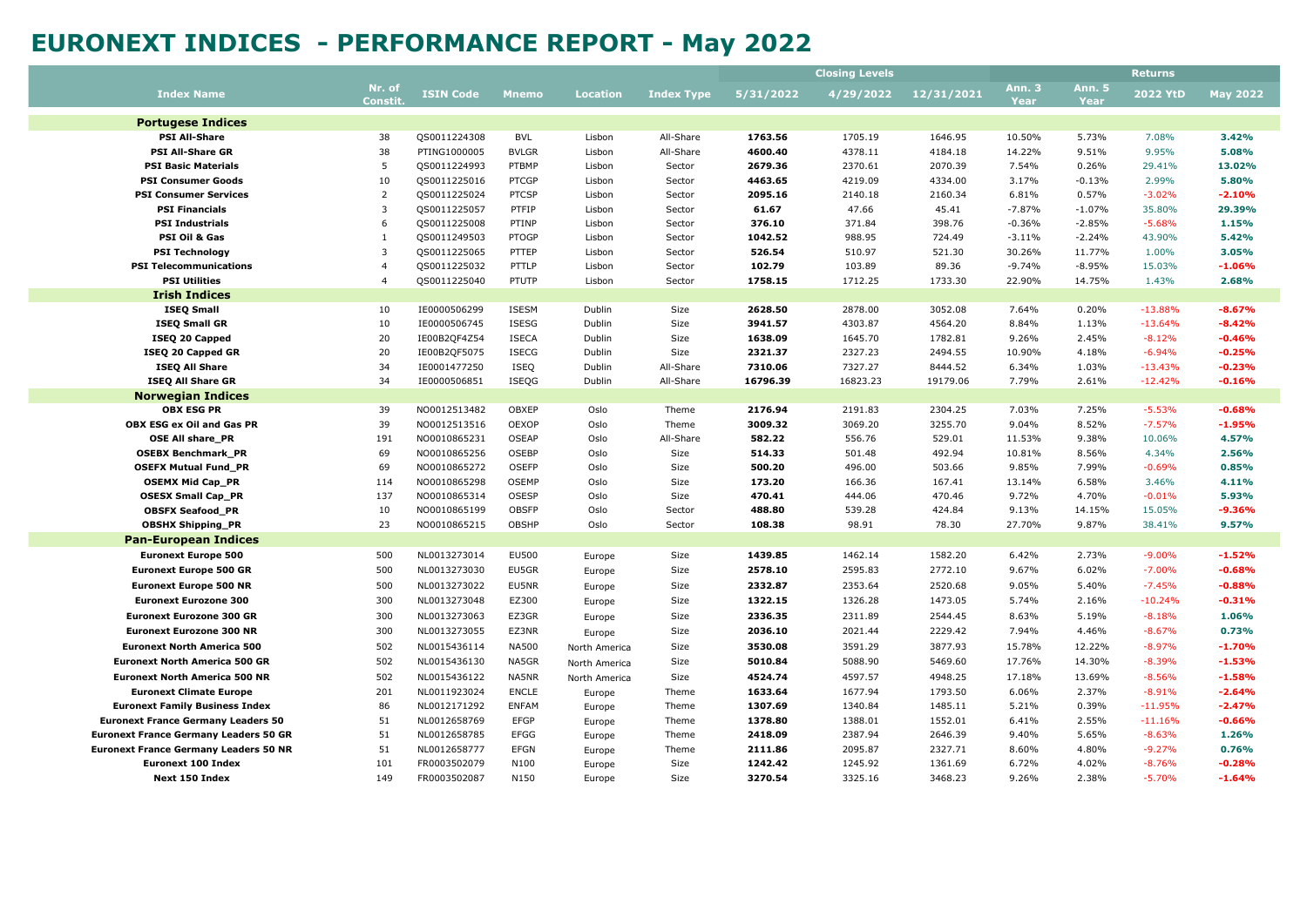|                                              |                          |                  |              |                 |                   |           | <b>Closing Levels</b> |            |                |                       | <b>Returns</b>  |                 |
|----------------------------------------------|--------------------------|------------------|--------------|-----------------|-------------------|-----------|-----------------------|------------|----------------|-----------------------|-----------------|-----------------|
| <b>Index Name</b>                            | Nr. of<br><b>Constit</b> | <b>ISIN Code</b> | <b>Mnemo</b> | <b>Location</b> | <b>Index Type</b> | 5/31/2022 | 4/29/2022             | 12/31/2021 | Ann. 3<br>Year | <b>Ann. 5</b><br>Year | <b>2022 YtD</b> | <b>May 2022</b> |
| <b>Portugese Indices</b>                     |                          |                  |              |                 |                   |           |                       |            |                |                       |                 |                 |
| <b>PSI All-Share</b>                         | 38                       | QS0011224308     | BVL          | Lisbon          | All-Share         | 1763.56   | 1705.19               | 1646.95    | 10.50%         | 5.73%                 | 7.08%           | 3.42%           |
| <b>PSI All-Share GR</b>                      | 38                       | PTING1000005     | <b>BVLGR</b> | Lisbon          | All-Share         | 4600.40   | 4378.11               | 4184.18    | 14.22%         | 9.51%                 | 9.95%           | 5.08%           |
| <b>PSI Basic Materials</b>                   | 5                        | QS0011224993     | PTBMP        | Lisbon          | Sector            | 2679.36   | 2370.61               | 2070.39    | 7.54%          | 0.26%                 | 29.41%          | 13.02%          |
| <b>PSI Consumer Goods</b>                    | 10                       | QS0011225016     | PTCGP        | Lisbon          | Sector            | 4463.65   | 4219.09               | 4334.00    | 3.17%          | $-0.13%$              | 2.99%           | 5.80%           |
| <b>PSI Consumer Services</b>                 | $\overline{2}$           | QS0011225024     | <b>PTCSP</b> | Lisbon          | Sector            | 2095.16   | 2140.18               | 2160.34    | 6.81%          | 0.57%                 | $-3.02%$        | $-2.10%$        |
| <b>PSI Financials</b>                        | $\overline{3}$           | QS0011225057     | PTFIP        | Lisbon          | Sector            | 61.67     | 47.66                 | 45.41      | $-7.87%$       | $-1.07%$              | 35.80%          | 29.39%          |
| <b>PSI Industrials</b>                       | 6                        | QS0011225008     | PTINP        | Lisbon          | Sector            | 376.10    | 371.84                | 398.76     | $-0.36%$       | $-2.85%$              | $-5.68%$        | 1.15%           |
| PSI Oil & Gas                                | $\mathbf{1}$             | QS0011249503     | PTOGP        | Lisbon          | Sector            | 1042.52   | 988.95                | 724.49     | $-3.11%$       | $-2.24%$              | 43.90%          | 5.42%           |
| <b>PSI Technology</b>                        | 3                        | QS0011225065     | PTTEP        | Lisbon          | Sector            | 526.54    | 510.97                | 521.30     | 30.26%         | 11.77%                | 1.00%           | 3.05%           |
| <b>PSI Telecommunications</b>                | $\overline{4}$           | QS0011225032     | PTTLP        | Lisbon          | Sector            | 102.79    | 103.89                | 89.36      | $-9.74%$       | $-8.95%$              | 15.03%          | $-1.06%$        |
| <b>PSI Utilities</b>                         | $\overline{4}$           | QS0011225040     | PTUTP        | Lisbon          | Sector            | 1758.15   | 1712.25               | 1733.30    | 22.90%         | 14.75%                | 1.43%           | 2.68%           |
| <b>Irish Indices</b>                         |                          |                  |              |                 |                   |           |                       |            |                |                       |                 |                 |
| <b>ISEQ Small</b>                            | 10                       | IE0000506299     | ISESM        | Dublin          | Size              | 2628.50   | 2878.00               | 3052.08    | 7.64%          | 0.20%                 | $-13.88%$       | $-8.67%$        |
| <b>ISEQ Small GR</b>                         | 10                       | IE0000506745     | ISESG        | Dublin          | Size              | 3941.57   | 4303.87               | 4564.20    | 8.84%          | 1.13%                 | $-13.64%$       | $-8.42%$        |
| ISEQ 20 Capped                               | 20                       | IE00B2QF4Z54     | <b>ISECA</b> | Dublin          | Size              | 1638.09   | 1645.70               | 1782.81    | 9.26%          | 2.45%                 | $-8.12%$        | $-0.46%$        |
| ISEQ 20 Capped GR                            | 20                       | IE00B2QF5075     | ISECG        | Dublin          | Size              | 2321.37   | 2327.23               | 2494.55    | 10.90%         | 4.18%                 | $-6.94%$        | $-0.25%$        |
| <b>ISEQ All Share</b>                        | 34                       | IE0001477250     | ISEQ         | Dublin          | All-Share         | 7310.06   | 7327.27               | 8444.52    | 6.34%          | 1.03%                 | $-13.43%$       | $-0.23%$        |
| <b>ISEQ All Share GR</b>                     | 34                       | IE0000506851     | ISEOG        | Dublin          | All-Share         | 16796.39  | 16823.23              | 19179.06   | 7.79%          | 2.61%                 | $-12.42%$       | $-0.16%$        |
| <b>Norwegian Indices</b>                     |                          |                  |              |                 |                   |           |                       |            |                |                       |                 |                 |
| <b>OBX ESG PR</b>                            | 39                       | NO0012513482     | OBXEP        | Oslo            | Theme             | 2176.94   | 2191.83               | 2304.25    | 7.03%          | 7.25%                 | $-5.53%$        | $-0.68%$        |
| OBX ESG ex Oil and Gas PR                    | 39                       | NO0012513516     | OEXOP        | Oslo            | Theme             | 3009.32   | 3069.20               | 3255.70    | 9.04%          | 8.52%                 | $-7.57%$        | $-1.95%$        |
| <b>OSE All share PR</b>                      | 191                      | NO0010865231     | <b>OSEAP</b> | Oslo            | All-Share         | 582.22    | 556.76                | 529.01     | 11.53%         | 9.38%                 | 10.06%          | 4.57%           |
| <b>OSEBX Benchmark_PR</b>                    | 69                       | NO0010865256     | <b>OSEBP</b> | Oslo            | Size              | 514.33    | 501.48                | 492.94     | 10.81%         | 8.56%                 | 4.34%           | 2.56%           |
| <b>OSEFX Mutual Fund PR</b>                  | 69                       | NO0010865272     | <b>OSEFP</b> | Oslo            | Size              | 500.20    | 496.00                | 503.66     | 9.85%          | 7.99%                 | $-0.69%$        | 0.85%           |
| <b>OSEMX Mid Cap_PR</b>                      | 114                      | NO0010865298     | <b>OSEMP</b> | Oslo            | Size              | 173.20    | 166.36                | 167.41     | 13.14%         | 6.58%                 | 3.46%           | 4.11%           |
| <b>OSESX Small Cap_PR</b>                    | 137                      | NO0010865314     | OSESP        | Oslo            | Size              | 470.41    | 444.06                | 470.46     | 9.72%          | 4.70%                 | $-0.01%$        | 5.93%           |
| <b>OBSFX Seafood_PR</b>                      | 10                       | NO0010865199     | <b>OBSFP</b> | Oslo            | Sector            | 488.80    | 539.28                | 424.84     | 9.13%          | 14.15%                | 15.05%          | $-9.36%$        |
| <b>OBSHX Shipping PR</b>                     | 23                       | NO0010865215     | <b>OBSHP</b> | Oslo            | Sector            | 108.38    | 98.91                 | 78.30      | 27.70%         | 9.87%                 | 38.41%          | 9.57%           |
| <b>Pan-European Indices</b>                  |                          |                  |              |                 |                   |           |                       |            |                |                       |                 |                 |
| <b>Euronext Europe 500</b>                   | 500                      | NL0013273014     | EU500        | Europe          | Size              | 1439.85   | 1462.14               | 1582.20    | 6.42%          | 2.73%                 | $-9.00%$        | $-1.52%$        |
| <b>Euronext Europe 500 GR</b>                | 500                      | NL0013273030     | EU5GR        | Europe          | Size              | 2578.10   | 2595.83               | 2772.10    | 9.67%          | 6.02%                 | $-7.00%$        | $-0.68%$        |
| <b>Euronext Europe 500 NR</b>                | 500                      | NL0013273022     | EU5NR        | Europe          | Size              | 2332.87   | 2353.64               | 2520.68    | 9.05%          | 5.40%                 | $-7.45%$        | $-0.88%$        |
| <b>Euronext Eurozone 300</b>                 | 300                      | NL0013273048     | EZ300        | Europe          | Size              | 1322.15   | 1326.28               | 1473.05    | 5.74%          | 2.16%                 | $-10.24%$       | $-0.31%$        |
| <b>Euronext Eurozone 300 GR</b>              | 300                      | NL0013273063     | EZ3GR        | Europe          | Size              | 2336.35   | 2311.89               | 2544.45    | 8.63%          | 5.19%                 | $-8.18%$        | 1.06%           |
| <b>Euronext Eurozone 300 NR</b>              | 300                      | NL0013273055     | EZ3NR        | Europe          | Size              | 2036.10   | 2021.44               | 2229.42    | 7.94%          | 4.46%                 | $-8.67%$        | 0.73%           |
| <b>Euronext North America 500</b>            | 502                      | NL0015436114     | <b>NA500</b> | North America   | Size              | 3530.08   | 3591.29               | 3877.93    | 15.78%         | 12.22%                | $-8.97%$        | $-1.70%$        |
| <b>Euronext North America 500 GR</b>         | 502                      | NL0015436130     | NA5GR        | North America   | Size              | 5010.84   | 5088.90               | 5469.60    | 17.76%         | 14.30%                | $-8.39%$        | $-1.53%$        |
| <b>Euronext North America 500 NR</b>         | 502                      | NL0015436122     | NA5NR        | North America   | Size              | 4524.74   | 4597.57               | 4948.25    | 17.18%         | 13.69%                | $-8.56%$        | $-1.58%$        |
| <b>Euronext Climate Europe</b>               | 201                      | NL0011923024     | <b>ENCLE</b> | Europe          | Theme             | 1633.64   | 1677.94               | 1793.50    | 6.06%          | 2.37%                 | $-8.91%$        | $-2.64%$        |
| <b>Euronext Family Business Index</b>        | 86                       | NL0012171292     | <b>ENFAM</b> | Europe          | Theme             | 1307.69   | 1340.84               | 1485.11    | 5.21%          | 0.39%                 | $-11.95%$       | $-2.47%$        |
| <b>Euronext France Germany Leaders 50</b>    | 51                       | NL0012658769     | EFGP         | Europe          | Theme             | 1378.80   | 1388.01               | 1552.01    | 6.41%          | 2.55%                 | $-11.16%$       | $-0.66%$        |
| <b>Euronext France Germany Leaders 50 GR</b> | 51                       | NL0012658785     | <b>EFGG</b>  | Europe          | Theme             | 2418.09   | 2387.94               | 2646.39    | 9.40%          | 5.65%                 | $-8.63%$        | 1.26%           |
| <b>Euronext France Germany Leaders 50 NR</b> | 51                       | NL0012658777     | EFGN         | Europe          | Theme             | 2111.86   | 2095.87               | 2327.71    | 8.60%          | 4.80%                 | $-9.27%$        | 0.76%           |
| <b>Euronext 100 Index</b>                    | 101                      | FR0003502079     | N100         | Europe          | Size              | 1242.42   | 1245.92               | 1361.69    | 6.72%          | 4.02%                 | $-8.76%$        | $-0.28%$        |
| Next 150 Index                               | 149                      | FR0003502087     | N150         | Europe          | Size              | 3270.54   | 3325.16               | 3468.23    | 9.26%          | 2.38%                 | $-5.70%$        | $-1.64%$        |
|                                              |                          |                  |              |                 |                   |           |                       |            |                |                       |                 |                 |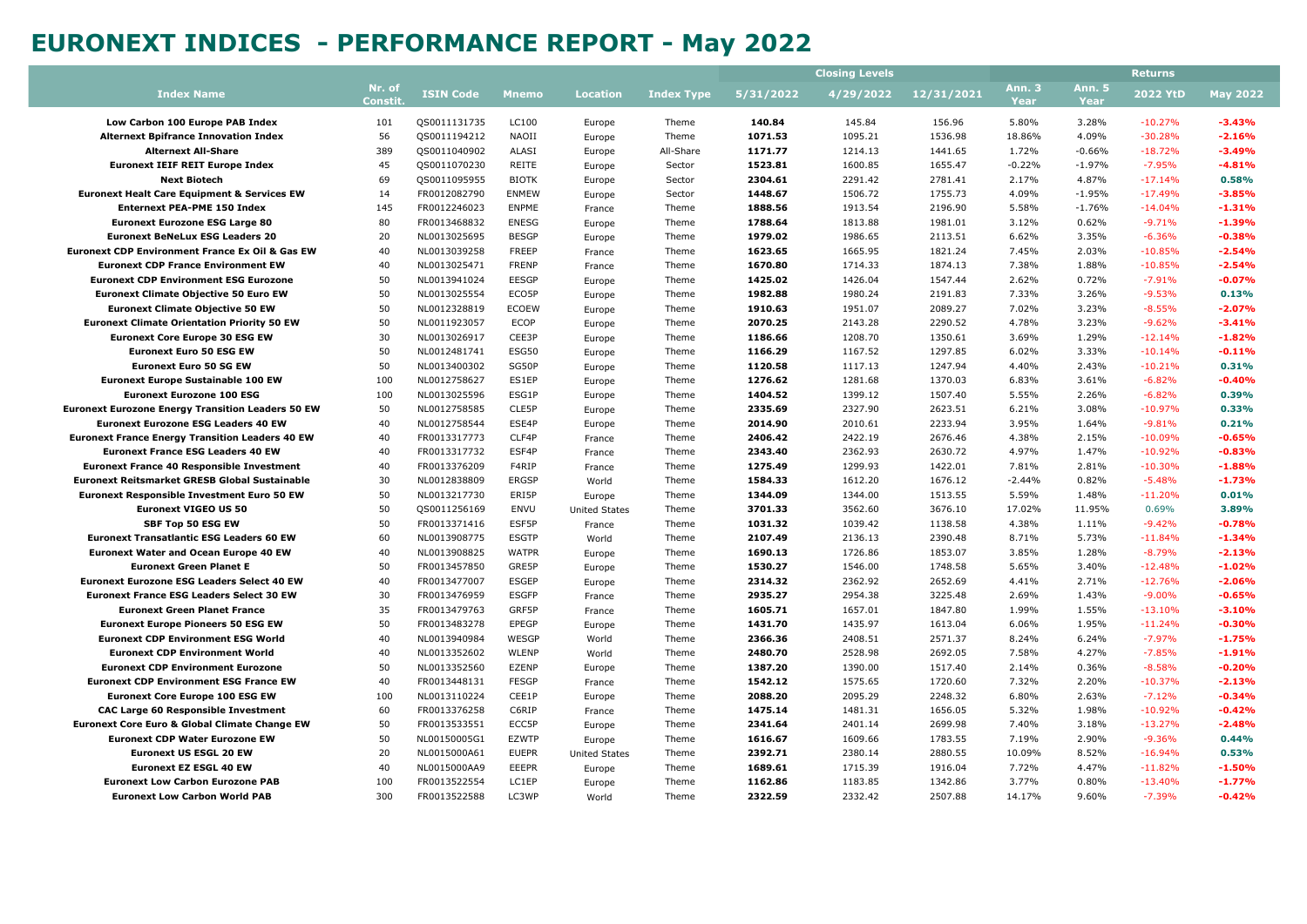|                                                          |                  |                  |              |                      |                   |           | <b>Closing Levels</b> |            |                       |                       | <b>Returns</b>  |                 |
|----------------------------------------------------------|------------------|------------------|--------------|----------------------|-------------------|-----------|-----------------------|------------|-----------------------|-----------------------|-----------------|-----------------|
| <b>Index Name</b>                                        | Nr. of<br>Consti | <b>ISIN Code</b> | <b>Mnemo</b> | <b>Location</b>      | <b>Index Type</b> | 5/31/2022 | 4/29/2022             | 12/31/2021 | <b>Ann. 3</b><br>Year | <b>Ann. 5</b><br>Year | <b>2022 YtD</b> | <b>May 2022</b> |
| Low Carbon 100 Europe PAB Index                          | 101              | QS0011131735     | LC100        | Europe               | Theme             | 140.84    | 145.84                | 156.96     | 5.80%                 | 3.28%                 | $-10.27%$       | $-3.43%$        |
| <b>Alternext Bpifrance Innovation Index</b>              | 56               | QS0011194212     | NAOII        | Europe               | Theme             | 1071.53   | 1095.21               | 1536.98    | 18.86%                | 4.09%                 | $-30.28%$       | $-2.16%$        |
| <b>Alternext All-Share</b>                               | 389              | QS0011040902     | ALASI        | Europe               | All-Share         | 1171.77   | 1214.13               | 1441.65    | 1.72%                 | $-0.66%$              | $-18.72%$       | $-3.49%$        |
| <b>Euronext IEIF REIT Europe Index</b>                   | 45               | QS0011070230     | REITE        | Europe               | Sector            | 1523.81   | 1600.85               | 1655.47    | $-0.22%$              | $-1.97%$              | $-7.95%$        | $-4.81%$        |
| <b>Next Biotech</b>                                      | 69               | QS0011095955     | <b>BIOTK</b> | Europe               | Sector            | 2304.61   | 2291.42               | 2781.41    | 2.17%                 | 4.87%                 | $-17.14%$       | 0.58%           |
| <b>Euronext Healt Care Equipment &amp; Services EW</b>   | 14               | FR0012082790     | <b>ENMEW</b> | Europe               | Sector            | 1448.67   | 1506.72               | 1755.73    | 4.09%                 | $-1.95%$              | $-17.49%$       | $-3.85%$        |
| <b>Enternext PEA-PME 150 Index</b>                       | 145              | FR0012246023     | ENPME        | France               | Theme             | 1888.56   | 1913.54               | 2196.90    | 5.58%                 | $-1.76%$              | $-14.04%$       | $-1.31%$        |
| <b>Euronext Eurozone ESG Large 80</b>                    | 80               | FR0013468832     | <b>ENESG</b> | Europe               | Theme             | 1788.64   | 1813.88               | 1981.01    | 3.12%                 | 0.62%                 | $-9.71%$        | $-1.39%$        |
| <b>Euronext BeNeLux ESG Leaders 20</b>                   | 20               | NL0013025695     | <b>BESGP</b> | Europe               | Theme             | 1979.02   | 1986.65               | 2113.51    | 6.62%                 | 3.35%                 | $-6.36%$        | $-0.38%$        |
| Euronext CDP Environment France Ex Oil & Gas EW          | 40               | NL0013039258     | <b>FREEP</b> | France               | Theme             | 1623.65   | 1665.95               | 1821.24    | 7.45%                 | 2.03%                 | $-10.85%$       | $-2.54%$        |
| <b>Euronext CDP France Environment EW</b>                | 40               | NL0013025471     | <b>FRENP</b> | France               | Theme             | 1670.80   | 1714.33               | 1874.13    | 7.38%                 | 1.88%                 | $-10.85%$       | $-2.54%$        |
| <b>Euronext CDP Environment ESG Eurozone</b>             | 50               | NL0013941024     | EESGP        | Europe               | Theme             | 1425.02   | 1426.04               | 1547.44    | 2.62%                 | 0.72%                 | $-7.91%$        | $-0.07%$        |
| <b>Euronext Climate Objective 50 Euro EW</b>             | 50               | NL0013025554     | ECO5P        | Europe               | Theme             | 1982.88   | 1980.24               | 2191.83    | 7.33%                 | 3.26%                 | $-9.53%$        | 0.13%           |
| <b>Euronext Climate Objective 50 EW</b>                  | 50               | NL0012328819     | <b>ECOEW</b> | Europe               | Theme             | 1910.63   | 1951.07               | 2089.27    | 7.02%                 | 3.23%                 | $-8.55%$        | $-2.07%$        |
| <b>Euronext Climate Orientation Priority 50 EW</b>       | 50               | NL0011923057     | ECOP         | Europe               | Theme             | 2070.25   | 2143.28               | 2290.52    | 4.78%                 | 3.23%                 | $-9.62%$        | $-3.41%$        |
| <b>Euronext Core Europe 30 ESG EW</b>                    | 30               | NL0013026917     | CEE3P        | Europe               | Theme             | 1186.66   | 1208.70               | 1350.61    | 3.69%                 | 1.29%                 | $-12.14%$       | $-1.82%$        |
| <b>Euronext Euro 50 ESG EW</b>                           | 50               | NL0012481741     | ESG50        | Europe               | Theme             | 1166.29   | 1167.52               | 1297.85    | 6.02%                 | 3.33%                 | $-10.14%$       | $-0.11%$        |
| <b>Euronext Euro 50 SG EW</b>                            | 50               | NL0013400302     | SG50P        | Europe               | Theme             | 1120.58   | 1117.13               | 1247.94    | 4.40%                 | 2.43%                 | $-10.21%$       | 0.31%           |
| <b>Euronext Europe Sustainable 100 EW</b>                | 100              | NL0012758627     | ES1EP        | Europe               | Theme             | 1276.62   | 1281.68               | 1370.03    | 6.83%                 | 3.61%                 | $-6.82%$        | $-0.40%$        |
| <b>Euronext Eurozone 100 ESG</b>                         | 100              | NL0013025596     | ESG1P        | Europe               | Theme             | 1404.52   | 1399.12               | 1507.40    | 5.55%                 | 2.26%                 | $-6.82%$        | 0.39%           |
| <b>Euronext Eurozone Energy Transition Leaders 50 EW</b> | 50               | NL0012758585     | CLE5P        | Europe               | Theme             | 2335.69   | 2327.90               | 2623.51    | 6.21%                 | 3.08%                 | $-10.97%$       | 0.33%           |
| <b>Euronext Eurozone ESG Leaders 40 EW</b>               | 40               | NL0012758544     | ESE4P        | Europe               | Theme             | 2014.90   | 2010.61               | 2233.94    | 3.95%                 | 1.64%                 | $-9.81%$        | 0.21%           |
| <b>Euronext France Energy Transition Leaders 40 EW</b>   | 40               | FR0013317773     | CLF4P        | France               | Theme             | 2406.42   | 2422.19               | 2676.46    | 4.38%                 | 2.15%                 | $-10.09%$       | $-0.65%$        |
| <b>Euronext France ESG Leaders 40 EW</b>                 | 40               | FR0013317732     | ESF4P        | France               | Theme             | 2343.40   | 2362.93               | 2630.72    | 4.97%                 | 1.47%                 | $-10.92%$       | $-0.83%$        |
| <b>Euronext France 40 Responsible Investment</b>         | 40               | FR0013376209     | F4RIP        | France               | Theme             | 1275.49   | 1299.93               | 1422.01    | 7.81%                 | 2.81%                 | $-10.30%$       | $-1.88%$        |
| <b>Euronext Reitsmarket GRESB Global Sustainable</b>     | 30               | NL0012838809     | <b>ERGSP</b> | World                | Theme             | 1584.33   | 1612.20               | 1676.12    | $-2.44%$              | 0.82%                 | $-5.48%$        | $-1.73%$        |
| <b>Euronext Responsible Investment Euro 50 EW</b>        | 50               | NL0013217730     | ERI5P        | Europe               | Theme             | 1344.09   | 1344.00               | 1513.55    | 5.59%                 | 1.48%                 | $-11.20%$       | 0.01%           |
| <b>Euronext VIGEO US 50</b>                              | 50               | QS0011256169     | ENVU         | <b>United States</b> | Theme             | 3701.33   | 3562.60               | 3676.10    | 17.02%                | 11.95%                | 0.69%           | 3.89%           |
| SBF Top 50 ESG EW                                        | 50               | FR0013371416     | ESF5P        | France               | Theme             | 1031.32   | 1039.42               | 1138.58    | 4.38%                 | 1.11%                 | $-9.42%$        | $-0.78%$        |
| <b>Euronext Transatlantic ESG Leaders 60 EW</b>          | 60               | NL0013908775     | <b>ESGTP</b> | World                | Theme             | 2107.49   | 2136.13               | 2390.48    | 8.71%                 | 5.73%                 | $-11.84%$       | $-1.34%$        |
| <b>Euronext Water and Ocean Europe 40 EW</b>             | 40               | NL0013908825     | <b>WATPR</b> | Europe               | Theme             | 1690.13   | 1726.86               | 1853.07    | 3.85%                 | 1.28%                 | $-8.79%$        | $-2.13%$        |
| <b>Euronext Green Planet E</b>                           | 50               | FR0013457850     | GRE5P        | Europe               | Theme             | 1530.27   | 1546.00               | 1748.58    | 5.65%                 | 3.40%                 | $-12.48%$       | $-1.02%$        |
| <b>Euronext Eurozone ESG Leaders Select 40 EW</b>        | 40               | FR0013477007     | ESGEP        | Europe               | Theme             | 2314.32   | 2362.92               | 2652.69    | 4.41%                 | 2.71%                 | $-12.76%$       | $-2.06%$        |
| <b>Euronext France ESG Leaders Select 30 EW</b>          | 30               | FR0013476959     | <b>ESGFP</b> | France               | Theme             | 2935.27   | 2954.38               | 3225.48    | 2.69%                 | 1.43%                 | $-9.00%$        | $-0.65%$        |
| <b>Euronext Green Planet France</b>                      | 35               | FR0013479763     | GRF5P        | France               | Theme             | 1605.71   | 1657.01               | 1847.80    | 1.99%                 | 1.55%                 | $-13.10%$       | $-3.10%$        |
| <b>Euronext Europe Pioneers 50 ESG EW</b>                | 50               | FR0013483278     | EPEGP        | Europe               | Theme             | 1431.70   | 1435.97               | 1613.04    | 6.06%                 | 1.95%                 | $-11.24%$       | $-0.30%$        |
| <b>Euronext CDP Environment ESG World</b>                | 40               | NL0013940984     | WESGP        | World                | Theme             | 2366.36   | 2408.51               | 2571.37    | 8.24%                 | 6.24%                 | $-7.97%$        | $-1.75%$        |
| <b>Euronext CDP Environment World</b>                    | 40               | NL0013352602     | WLENP        | World                | Theme             | 2480.70   | 2528.98               | 2692.05    | 7.58%                 | 4.27%                 | $-7.85%$        | $-1.91%$        |
| <b>Euronext CDP Environment Eurozone</b>                 | 50               | NL0013352560     | EZENP        | Europe               | Theme             | 1387.20   | 1390.00               | 1517.40    | 2.14%                 | 0.36%                 | $-8.58%$        | $-0.20%$        |
| <b>Euronext CDP Environment ESG France EW</b>            | 40               | FR0013448131     | <b>FESGP</b> | France               | Theme             | 1542.12   | 1575.65               | 1720.60    | 7.32%                 | 2.20%                 | $-10.37%$       | $-2.13%$        |
| <b>Euronext Core Europe 100 ESG EW</b>                   | 100              | NL0013110224     | CEE1P        | Europe               | Theme             | 2088.20   | 2095.29               | 2248.32    | 6.80%                 | 2.63%                 | $-7.12%$        | $-0.34%$        |
| <b>CAC Large 60 Responsible Investment</b>               | 60               | FR0013376258     | C6RIP        | France               | Theme             | 1475.14   | 1481.31               | 1656.05    | 5.32%                 | 1.98%                 | $-10.92%$       | $-0.42%$        |
| Euronext Core Euro & Global Climate Change EW            | 50               | FR0013533551     | ECC5P        | Europe               | Theme             | 2341.64   | 2401.14               | 2699.98    | 7.40%                 | 3.18%                 | $-13.27%$       | $-2.48%$        |
| <b>Euronext CDP Water Eurozone EW</b>                    | 50               | NL00150005G1     | EZWTP        | Europe               | Theme             | 1616.67   | 1609.66               | 1783.55    | 7.19%                 | 2.90%                 | $-9.36%$        | 0.44%           |
| <b>Euronext US ESGL 20 EW</b>                            | 20               | NL0015000A61     | <b>EUEPR</b> | <b>United States</b> | Theme             | 2392.71   | 2380.14               | 2880.55    | 10.09%                | 8.52%                 | $-16.94%$       | 0.53%           |
| <b>Euronext EZ ESGL 40 EW</b>                            | 40               | NL0015000AA9     | <b>EEEPR</b> | Europe               | Theme             | 1689.61   | 1715.39               | 1916.04    | 7.72%                 | 4.47%                 | $-11.82%$       | $-1.50%$        |
| <b>Euronext Low Carbon Eurozone PAB</b>                  | 100              | FR0013522554     | LC1EP        | Europe               | Theme             | 1162.86   | 1183.85               | 1342.86    | 3.77%                 | 0.80%                 | $-13.40%$       | $-1.77%$        |
| <b>Euronext Low Carbon World PAB</b>                     | 300              | FR0013522588     | LC3WP        | World                | Theme             | 2322.59   | 2332.42               | 2507.88    | 14.17%                | 9.60%                 | $-7.39%$        | $-0.42%$        |